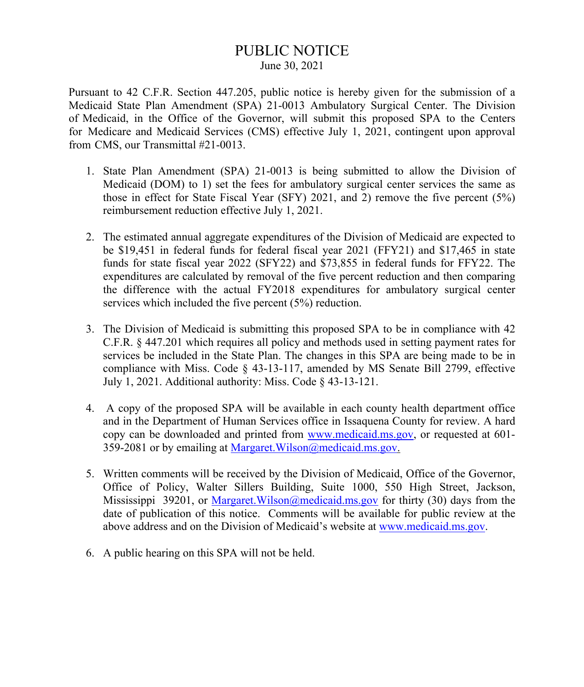# PUBLIC NOTICE June 30, 2021

Pursuant to 42 C.F.R. Section 447.205, public notice is hereby given for the submission of a Medicaid State Plan Amendment (SPA) 21-0013 Ambulatory Surgical Center. The Division of Medicaid, in the Office of the Governor, will submit this proposed SPA to the Centers for Medicare and Medicaid Services (CMS) effective July 1, 2021, contingent upon approval from CMS, our Transmittal #21-0013.

- 1. State Plan Amendment (SPA) 21-0013 is being submitted to allow the Division of Medicaid (DOM) to 1) set the fees for ambulatory surgical center services the same as those in effect for State Fiscal Year (SFY) 2021, and 2) remove the five percent (5%) reimbursement reduction effective July 1, 2021.
- 2. The estimated annual aggregate expenditures of the Division of Medicaid are expected to be \$19,451 in federal funds for federal fiscal year 2021 (FFY21) and \$17,465 in state funds for state fiscal year 2022 (SFY22) and \$73,855 in federal funds for FFY22. The expenditures are calculated by removal of the five percent reduction and then comparing the difference with the actual FY2018 expenditures for ambulatory surgical center services which included the five percent (5%) reduction.
- 3. The Division of Medicaid is submitting this proposed SPA to be in compliance with 42 C.F.R. § 447.201 which requires all policy and methods used in setting payment rates for services be included in the State Plan. The changes in this SPA are being made to be in compliance with Miss. Code § 43-13-117, amended by MS Senate Bill 2799, effective July 1, 2021. Additional authority: Miss. Code § 43-13-121.
- 4. A copy of the proposed SPA will be available in each county health department office and in the Department of Human Services office in Issaquena County for review. A hard copy can be downloaded and printed from [www.medicaid.ms.gov,](http://www.medicaid.ms.gov/) or requested at 601-359-2081 or by emailing at Margaret. Wilson@medicaid.ms.gov.
- 5. Written comments will be received by the Division of Medicaid, Office of the Governor, Office of Policy, Walter Sillers Building, Suite 1000, 550 High Street, Jackson, Mississippi 39201, or Margaret. Wilson @medicaid.ms.gov for thirty (30) days from the date of publication of this notice. Comments will be available for public review at the above address and on the Division of Medicaid's website at [www.medicaid.ms.gov.](http://www.medicaid.ms.gov/)
- 6. A public hearing on this SPA will not be held.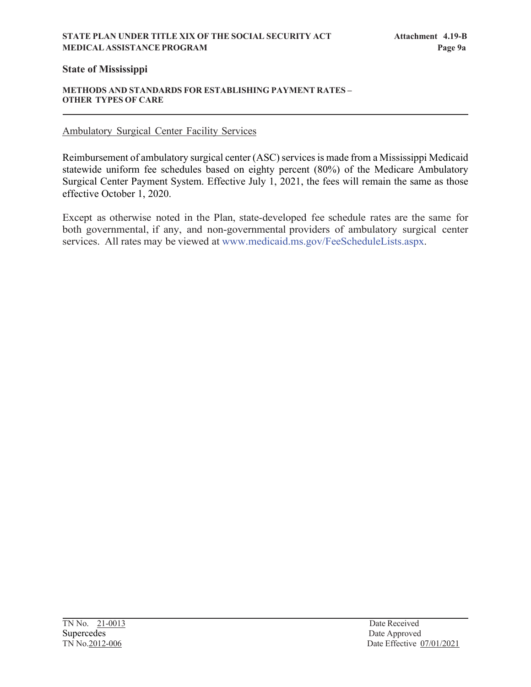### **STATE PLAN UNDER TITLE XIX OF THE SOCIAL SECURITY ACT Attachment 4.19-B MEDICAL ASSISTANCE PROGRAM Page 9a**

# **State of Mississippi**

#### **METHODS AND STANDARDS FOR ESTABLISHING PAYMENT RATES – OTHER TYPES OF CARE**

# Ambulatory Surgical Center Facility Services

Reimbursement of ambulatory surgical center (ASC) services is made from a Mississippi Medicaid statewide uniform fee schedules based on eighty percent (80%) of the Medicare Ambulatory Surgical Center Payment System. Effective July 1, 2021, the fees will remain the same as those effective October 1, 2020.

Except as otherwise noted in the Plan, state-developed fee schedule rates are the same for both governmental, if any, and non-governmental providers of ambulatory surgical center services. All rates may be viewed at [www.medicaid.ms.gov/FeeScheduleLists.aspx.](http://www.medicaid.ms.gov/FeeScheduleLists.aspx)